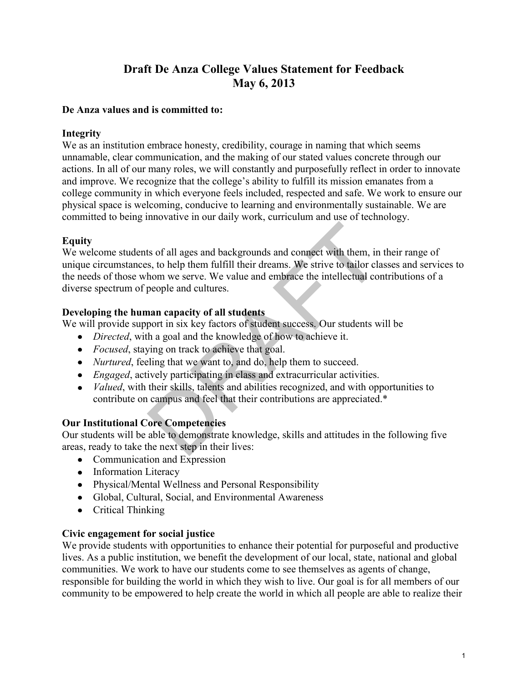# **Draft De Anza College Values Statement for Feedback May 6, 2013**

#### **De Anza values and is committed to:**

## **Integrity**

We as an institution embrace honesty, credibility, courage in naming that which seems unnamable, clear communication, and the making of our stated values concrete through our actions. In all of our many roles, we will constantly and purposefully reflect in order to innovate and improve. We recognize that the college's ability to fulfill its mission emanates from a college community in which everyone feels included, respected and safe. We work to ensure our physical space is welcoming, conducive to learning and environmentally sustainable. We are committed to being innovative in our daily work, curriculum and use of technology.

## **Equity**

We welcome students of all ages and backgrounds and connect with them, in their range of unique circumstances, to help them fulfill their dreams. We strive to tailor classes and services to the needs of those whom we serve. We value and embrace the intellectual contributions of a diverse spectrum of people and cultures. ts of all ages and backgrounds and connect with them, in<br>s, to help them fulfill their dreams. We strive to tailor cla<br>hom we serve. We value and embrace the intellectual cor<br>people and cultures.<br>**nan capacity of all stude** 

#### **Developing the human capacity of all students**

We will provide support in six key factors of student success. Our students will be

- *Directed*, with a goal and the knowledge of how to achieve it.
- *Focused*, staying on track to achieve that goal.
- *Nurtured*, feeling that we want to, and do, help them to succeed.
- *Engaged*, actively participating in class and extracurricular activities.
- *Valued*, with their skills, talents and abilities recognized, and with opportunities to contribute on campus and feel that their contributions are appreciated.\*

## **Our Institutional Core Competencies**

Our students will be able to demonstrate knowledge, skills and attitudes in the following five areas, ready to take the next step in their lives:

- Communication and Expression
- Information Literacy
- Physical/Mental Wellness and Personal Responsibility
- Global, Cultural, Social, and Environmental Awareness
- Critical Thinking

## **Civic engagement for social justice**

We provide students with opportunities to enhance their potential for purposeful and productive lives. As a public institution, we benefit the development of our local, state, national and global communities. We work to have our students come to see themselves as agents of change, responsible for building the world in which they wish to live. Our goal is for all members of our community to be empowered to help create the world in which all people are able to realize their